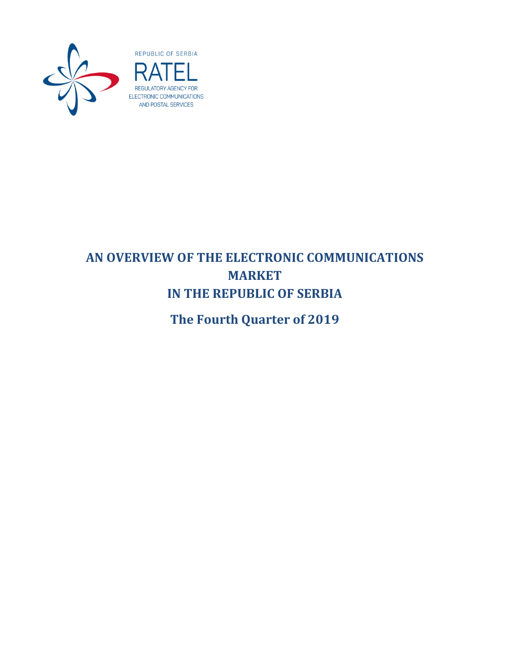

# **AN OVERVIEW OF THE ELECTRONIC COMMUNICATIONS MARKET IN THE REPUBLIC OF SERBIA**

**The Fourth Quarter of 2019**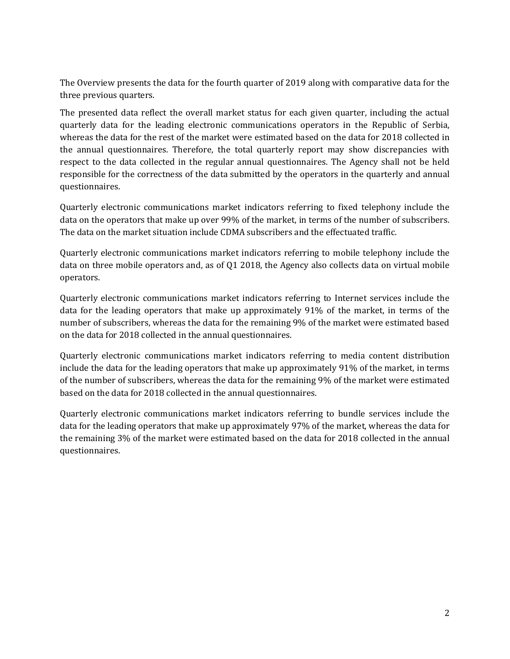The Overview presents the data for the fourth quarter of 2019 along with comparative data for the three previous quarters.

The presented data reflect the overall market status for each given quarter, including the actual quarterly data for the leading electronic communications operators in the Republic of Serbia, whereas the data for the rest of the market were estimated based on the data for 2018 collected in the annual questionnaires. Therefore, the total quarterly report may show discrepancies with respect to the data collected in the regular annual questionnaires. The Agency shall not be held responsible for the correctness of the data submitted by the operators in the quarterly and annual questionnaires.

Quarterly electronic communications market indicators referring to fixed telephony include the data on the operators that make up over 99% of the market, in terms of the number of subscribers. The data on the market situation include CDMA subscribers and the effectuated traffic.

Quarterly electronic communications market indicators referring to mobile telephony include the data on three mobile operators and, as of Q1 2018, the Agency also collects data on virtual mobile operators.

Quarterly electronic communications market indicators referring to Internet services include the data for the leading operators that make up approximately 91% of the market, in terms of the number of subscribers, whereas the data for the remaining 9% of the market were estimated based on the data for 2018 collected in the annual questionnaires.

Quarterly electronic communications market indicators referring to media content distribution include the data for the leading operators that make up approximately 91% of the market, in terms of the number of subscribers, whereas the data for the remaining 9% of the market were estimated based on the data for 2018 collected in the annual questionnaires.

Quarterly electronic communications market indicators referring to bundle services include the data for the leading operators that make up approximately 97% of the market, whereas the data for the remaining 3% of the market were estimated based on the data for 2018 collected in the annual questionnaires.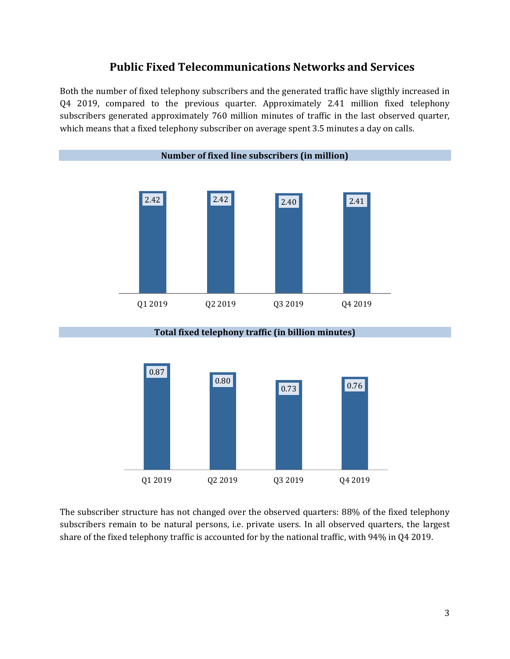## **Public Fixed Telecommunications Networks and Services**

Both the number of fixed telephony subscribers and the generated traffic have sligthly increased in Q4 2019, compared to the previous quarter. Approximately 2.41 million fixed telephony subscribers generated approximately 760 million minutes of traffic in the last observed quarter, which means that a fixed telephony subscriber on average spent 3.5 minutes a day on calls.



**Total fixed telephony traffic (in billion minutes)**



The subscriber structure has not changed over the observed quarters: 88% of the fixed telephony subscribers remain to be natural persons, i.e. private users. In all observed quarters, the largest share of the fixed telephony traffic is accounted for by the national traffic, with 94% in Q4 2019.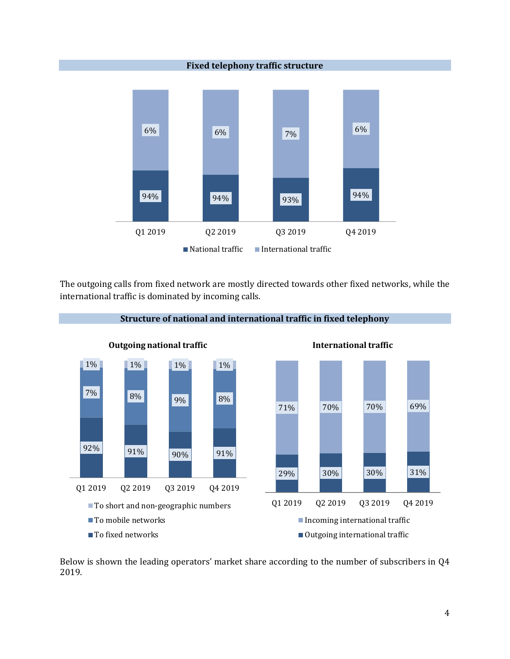

The outgoing calls from fixed network are mostly directed towards other fixed networks, while the international traffic is dominated by incoming calls.



Below is shown the leading operators' market share according to the number of subscribers in Q4 2019.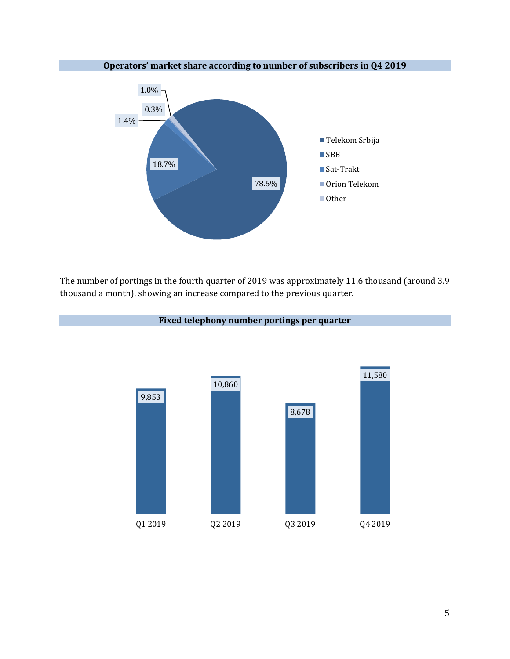

The number of portings in the fourth quarter of 2019 was approximately 11.6 thousand (around 3.9 thousand a month), showing an increase compared to the previous quarter.



#### **Fixed telephony number portings per quarter**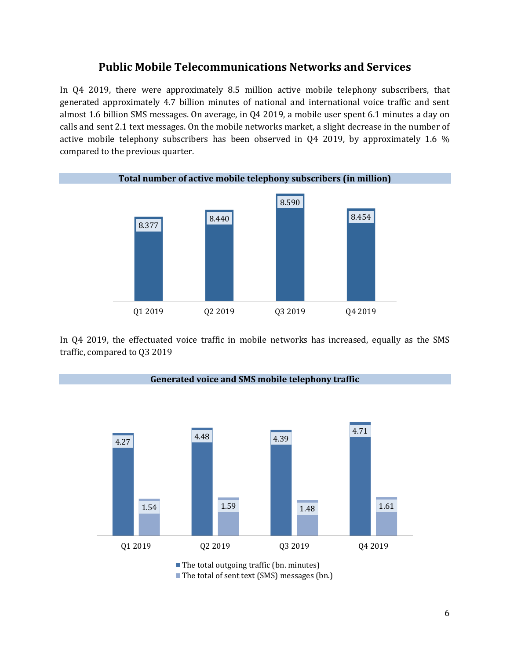### **Public Mobile Telecommunications Networks and Services**

In Q4 2019, there were approximately 8.5 million active mobile telephony subscribers, that generated approximately 4.7 billion minutes of national and international voice traffic and sent almost 1.6 billion SMS messages. On average, in Q4 2019, a mobile user spent 6.1 minutes a day on calls and sent 2.1 text messages. On the mobile networks market, a slight decrease in the number of active mobile telephony subscribers has been observed in Q4 2019, by approximately 1.6 % compared to the previous quarter.



In Q4 2019, the effectuated voice traffic in mobile networks has increased, equally as the SMS traffic, compared to Q3 2019

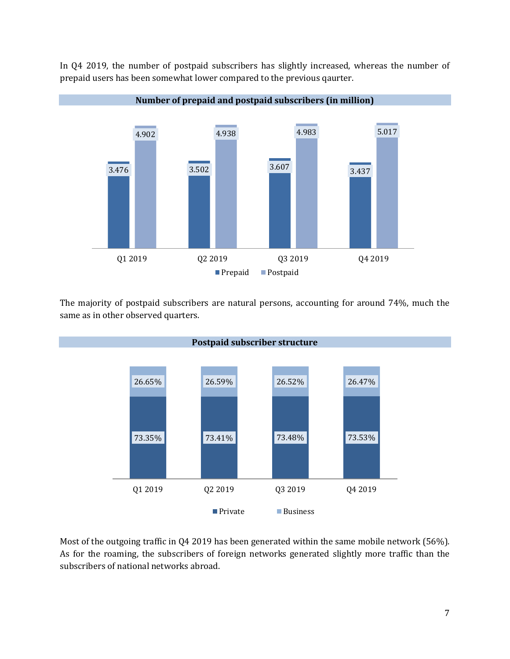

In Q4 2019, the number of postpaid subscribers has slightly increased, whereas the number of prepaid users has been somewhat lower compared to the previous qaurter.

The majority of postpaid subscribers are natural persons, accounting for around 74%, much the same as in other observed quarters.



Most of the outgoing traffic in Q4 2019 has been generated within the same mobile network (56%). As for the roaming, the subscribers of foreign networks generated slightly more traffic than the subscribers of national networks abroad.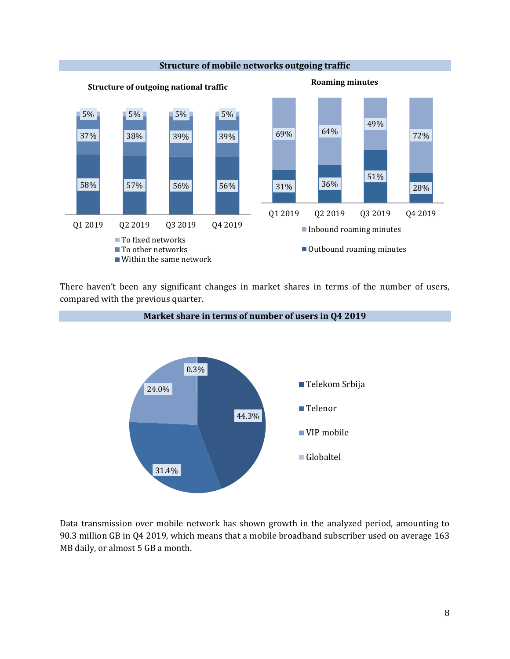

There haven't been any significant changes in market shares in terms of the number of users, compared with the previous quarter.



Data transmission over mobile network has shown growth in the analyzed period, amounting to 90.3 million GB in Q4 2019, which means that a mobile broadband subscriber used on average 163 MB daily, or almost 5 GB a month.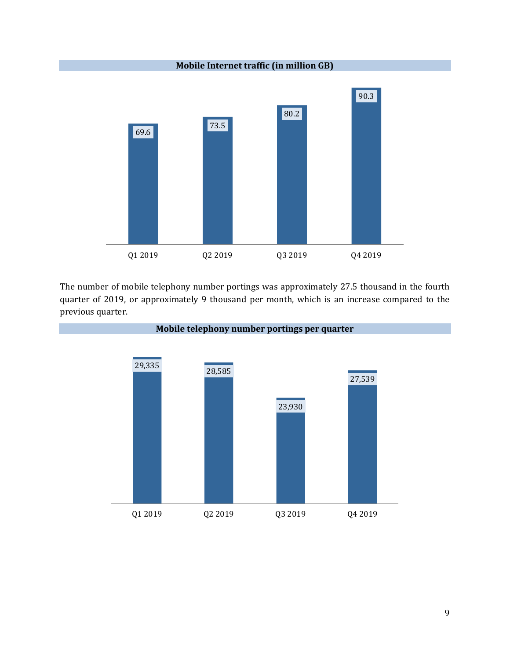**Mobile Internet traffic (in million GB)** 69.6 73.5 80.2 90.3 Q1 2019 Q2 2019 Q3 2019 Q4 2019

The number of mobile telephony number portings was approximately 27.5 thousand in the fourth quarter of 2019, or approximately 9 thousand per month, which is an increase compared to the previous quarter.

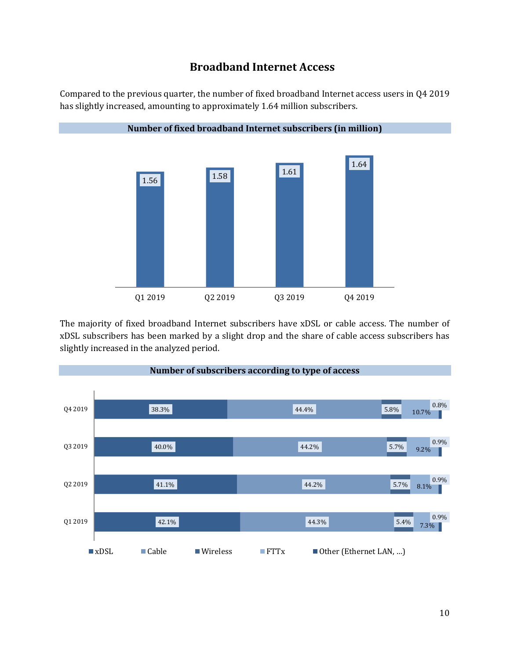# **Broadband Internet Access**

Compared to the previous quarter, the number of fixed broadband Internet access users in Q4 2019 has slightly increased, amounting to approximately 1.64 million subscribers.



The majority of fixed broadband Internet subscribers have xDSL or cable access. The number of xDSL subscribers has been marked by a slight drop and the share of cable access subscribers has slightly increased in the analyzed period.

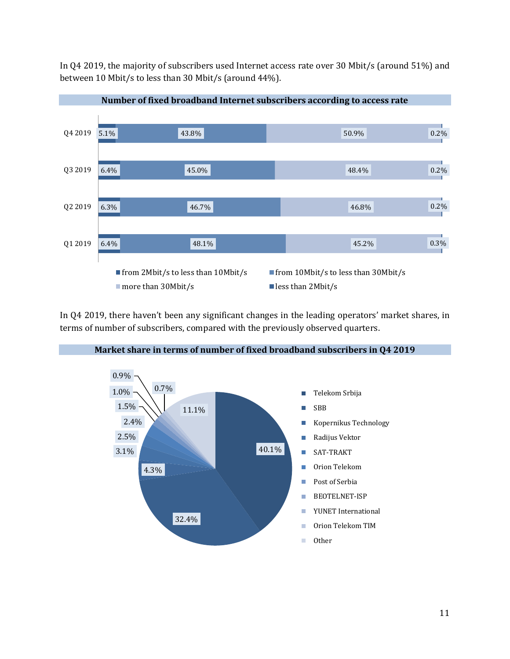In Q4 2019, the majority of subscribers used Internet access rate over 30 Mbit/s (around 51%) and between 10 Mbit/s to less than 30 Mbit/s (around 44%).



In Q4 2019, there haven't been any significant changes in the leading operators' market shares, in terms of number of subscribers, compared with the previously observed quarters.



#### **Market share in terms of number of fixed broadband subscribers in Q4 2019**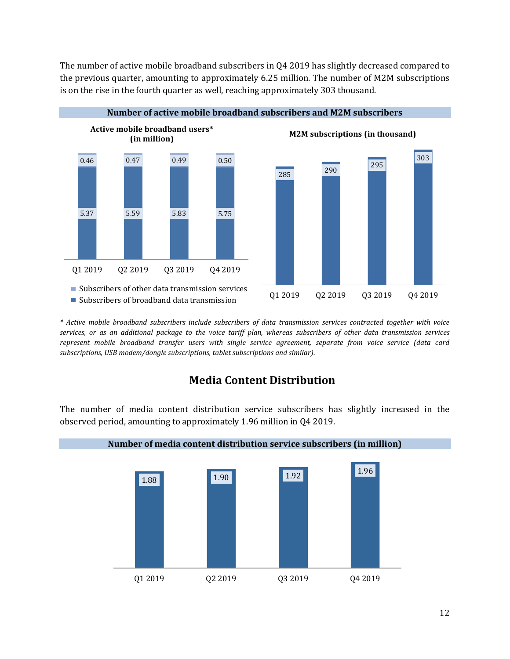The number of active mobile broadband subscribers in Q4 2019 has slightly decreased compared to the previous quarter, amounting to approximately 6.25 million. The number of M2M subscriptions is on the rise in the fourth quarter as well, reaching approximately 303 thousand.



*\* Active mobile broadband subscribers include subscribers of data transmission services contracted together with voice services, or as an additional package to the voice tariff plan, whereas subscribers of other data transmission services represent mobile broadband transfer users with single service agreement, separate from voice service (data card subscriptions, USB modem/dongle subscriptions, tablet subscriptions and similar).* 

# **Media Content Distribution**

The number of media content distribution service subscribers has slightly increased in the observed period, amounting to approximately 1.96 million in Q4 2019.

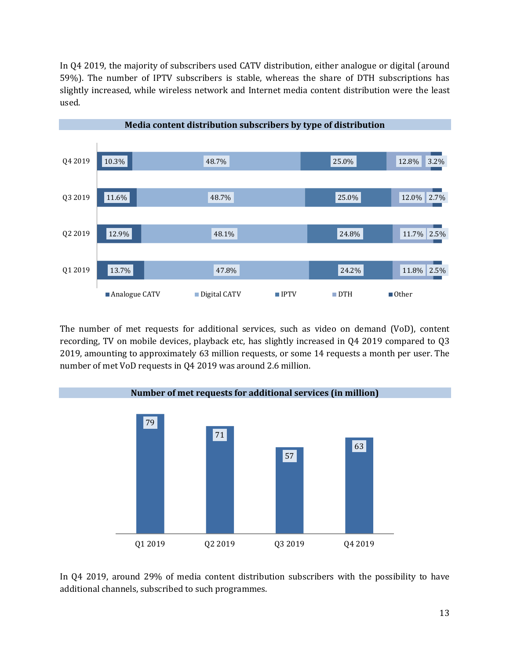In Q4 2019, the majority of subscribers used CATV distribution, either analogue or digital (around 59%). The number of IPTV subscribers is stable, whereas the share of DTH subscriptions has slightly increased, while wireless network and Internet media content distribution were the least used.



The number of met requests for additional services, such as video on demand (VoD), content recording, TV on mobile devices, playback etc, has slightly increased in Q4 2019 compared to Q3 2019, amounting to approximately 63 million requests, or some 14 requests a month per user. The number of met VoD requests in Q4 2019 was around 2.6 million.



In Q4 2019, around 29% of media content distribution subscribers with the possibility to have additional channels, subscribed to such programmes.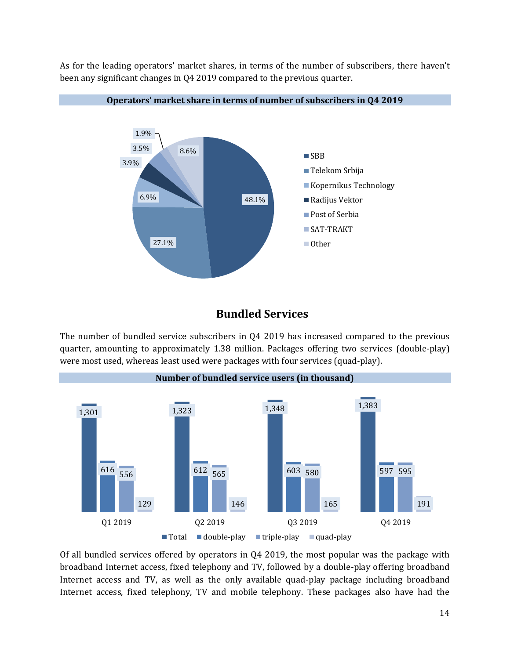As for the leading operators' market shares, in terms of the number of subscribers, there haven't been any significant changes in Q4 2019 compared to the previous quarter.



#### **Operators' market share in terms of number of subscribers in Q4 2019**

#### **Bundled Services**

The number of bundled service subscribers in Q4 2019 has increased compared to the previous quarter, amounting to approximately 1.38 million. Packages offering two services (double-play) were most used, whereas least used were packages with four services (quad-play).



Of all bundled services offered by operators in Q4 2019, the most popular was the package with broadband Internet access, fixed telephony and TV, followed by a double-play offering broadband Internet access and TV, as well as the only available quad-play package including broadband Internet access, fixed telephony, TV and mobile telephony. These packages also have had the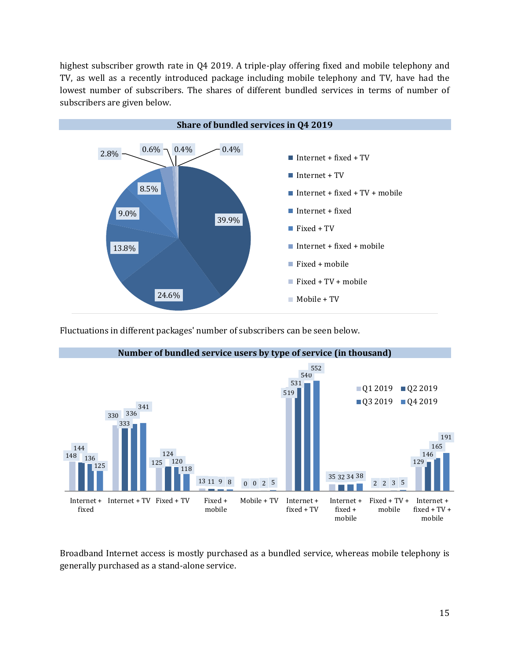highest subscriber growth rate in Q4 2019. A triple-play offering fixed and mobile telephony and TV, as well as a recently introduced package including mobile telephony and TV, have had the lowest number of subscribers. The shares of different bundled services in terms of number of subscribers are given below.



Fluctuations in different packages' number of subscribers can be seen below.



Broadband Internet access is mostly purchased as a bundled service, whereas mobile telephony is generally purchased as a stand-alone service.